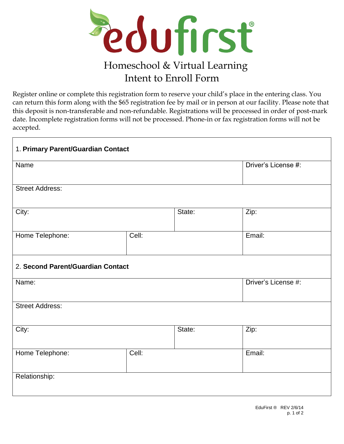

## Homeschool & Virtual Learning Intent to Enroll Form

Register online or complete this registration form to reserve your child's place in the entering class. You can return this form along with the \$65 registration fee by mail or in person at our facility. Please note that this deposit is non-transferable and non-refundable. Registrations will be processed in order of post-mark date. Incomplete registration forms will not be processed. Phone-in or fax registration forms will not be accepted.

| 1. Primary Parent/Guardian Contact |       |        |                     |  |
|------------------------------------|-------|--------|---------------------|--|
| Name                               |       |        | Driver's License #: |  |
| <b>Street Address:</b>             |       |        |                     |  |
| City:                              |       | State: | Zip:                |  |
| Home Telephone:                    | Cell: |        | Email:              |  |
| 2. Second Parent/Guardian Contact  |       |        |                     |  |
| Name:                              |       |        | Driver's License #: |  |
| <b>Street Address:</b>             |       |        |                     |  |
| City:                              |       | State: | Zip:                |  |
| Home Telephone:                    | Cell: |        | Email:              |  |
| Relationship:                      |       |        |                     |  |